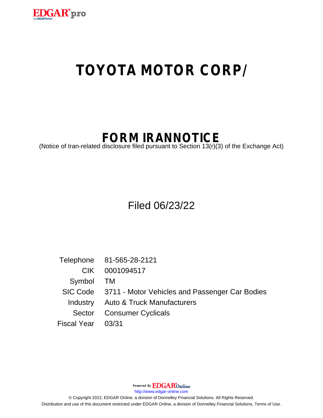

## **TOYOTA MOTOR CORP/**

## **FORM IRANNOTICE**

(Notice of Iran-related disclosure filed pursuant to Section 13(r)(3) of the Exchange Act)

Filed 06/23/22

Telephone 81-565-28-2121 CIK 0001094517 Symbol TM SIC Code 3711 - Motor Vehicles and Passenger Car Bodies Industry Auto & Truck Manufacturers Sector Consumer Cyclicals Fiscal Year 03/31

Powered By **EDGAR**Online

http://www.edgar-online.com

© Copyright 2022, EDGAR Online, a division of Donnelley Financial Solutions. All Rights Reserved. Distribution and use of this document restricted under EDGAR Online, a division of Donnelley Financial Solutions, Terms of Use.